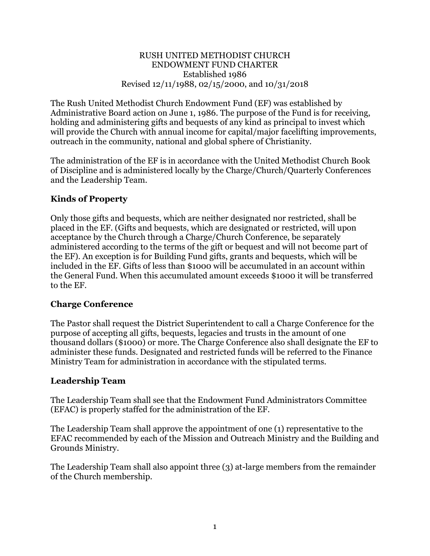#### RUSH UNITED METHODIST CHURCH ENDOWMENT FUND CHARTER Established 1986 Revised 12/11/1988, 02/15/2000, and 10/31/2018

The Rush United Methodist Church Endowment Fund (EF) was established by Administrative Board action on June 1, 1986. The purpose of the Fund is for receiving, holding and administering gifts and bequests of any kind as principal to invest which will provide the Church with annual income for capital/major facelifting improvements, outreach in the community, national and global sphere of Christianity.

The administration of the EF is in accordance with the United Methodist Church Book of Discipline and is administered locally by the Charge/Church/Quarterly Conferences and the Leadership Team.

### **Kinds of Property**

Only those gifts and bequests, which are neither designated nor restricted, shall be placed in the EF. (Gifts and bequests, which are designated or restricted, will upon acceptance by the Church through a Charge/Church Conference, be separately administered according to the terms of the gift or bequest and will not become part of the EF). An exception is for Building Fund gifts, grants and bequests, which will be included in the EF. Gifts of less than \$1000 will be accumulated in an account within the General Fund. When this accumulated amount exceeds \$1000 it will be transferred to the EF.

### **Charge Conference**

The Pastor shall request the District Superintendent to call a Charge Conference for the purpose of accepting all gifts, bequests, legacies and trusts in the amount of one thousand dollars (\$1000) or more. The Charge Conference also shall designate the EF to administer these funds. Designated and restricted funds will be referred to the Finance Ministry Team for administration in accordance with the stipulated terms.

### **Leadership Team**

The Leadership Team shall see that the Endowment Fund Administrators Committee (EFAC) is properly staffed for the administration of the EF.

The Leadership Team shall approve the appointment of one (1) representative to the EFAC recommended by each of the Mission and Outreach Ministry and the Building and Grounds Ministry.

The Leadership Team shall also appoint three (3) at-large members from the remainder of the Church membership.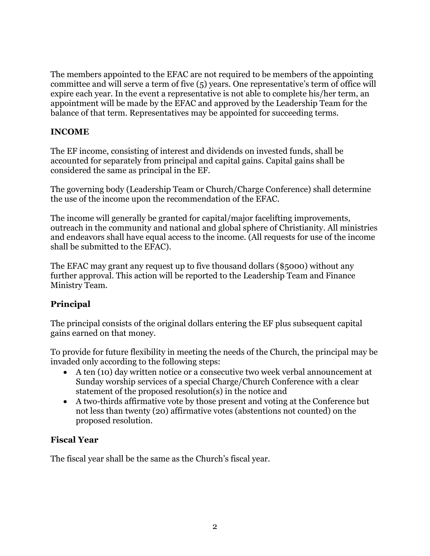The members appointed to the EFAC are not required to be members of the appointing committee and will serve a term of five (5) years. One representative's term of office will expire each year. In the event a representative is not able to complete his/her term, an appointment will be made by the EFAC and approved by the Leadership Team for the balance of that term. Representatives may be appointed for succeeding terms.

### **INCOME**

The EF income, consisting of interest and dividends on invested funds, shall be accounted for separately from principal and capital gains. Capital gains shall be considered the same as principal in the EF.

The governing body (Leadership Team or Church/Charge Conference) shall determine the use of the income upon the recommendation of the EFAC.

The income will generally be granted for capital/major facelifting improvements, outreach in the community and national and global sphere of Christianity. All ministries and endeavors shall have equal access to the income. (All requests for use of the income shall be submitted to the EFAC).

The EFAC may grant any request up to five thousand dollars (\$5000) without any further approval. This action will be reported to the Leadership Team and Finance Ministry Team.

# **Principal**

The principal consists of the original dollars entering the EF plus subsequent capital gains earned on that money.

To provide for future flexibility in meeting the needs of the Church, the principal may be invaded only according to the following steps:

- A ten (10) day written notice or a consecutive two week verbal announcement at Sunday worship services of a special Charge/Church Conference with a clear statement of the proposed resolution(s) in the notice and
- A two-thirds affirmative vote by those present and voting at the Conference but not less than twenty (20) affirmative votes (abstentions not counted) on the proposed resolution.

# **Fiscal Year**

The fiscal year shall be the same as the Church's fiscal year.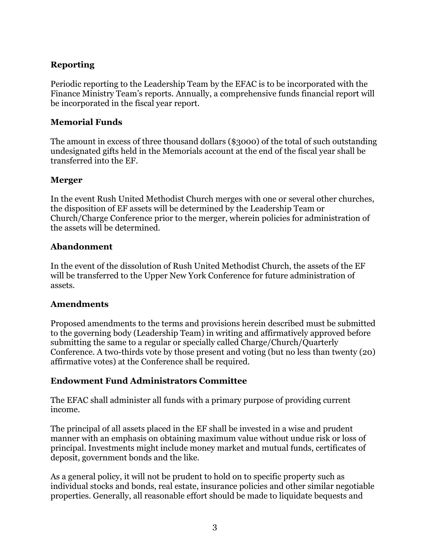# **Reporting**

Periodic reporting to the Leadership Team by the EFAC is to be incorporated with the Finance Ministry Team's reports. Annually, a comprehensive funds financial report will be incorporated in the fiscal year report.

### **Memorial Funds**

The amount in excess of three thousand dollars (\$3000) of the total of such outstanding undesignated gifts held in the Memorials account at the end of the fiscal year shall be transferred into the EF.

### **Merger**

In the event Rush United Methodist Church merges with one or several other churches, the disposition of EF assets will be determined by the Leadership Team or Church/Charge Conference prior to the merger, wherein policies for administration of the assets will be determined.

### **Abandonment**

In the event of the dissolution of Rush United Methodist Church, the assets of the EF will be transferred to the Upper New York Conference for future administration of assets.

### **Amendments**

Proposed amendments to the terms and provisions herein described must be submitted to the governing body (Leadership Team) in writing and affirmatively approved before submitting the same to a regular or specially called Charge/Church/Quarterly Conference. A two-thirds vote by those present and voting (but no less than twenty (20) affirmative votes) at the Conference shall be required.

# **Endowment Fund Administrators Committee**

The EFAC shall administer all funds with a primary purpose of providing current income.

The principal of all assets placed in the EF shall be invested in a wise and prudent manner with an emphasis on obtaining maximum value without undue risk or loss of principal. Investments might include money market and mutual funds, certificates of deposit, government bonds and the like.

As a general policy, it will not be prudent to hold on to specific property such as individual stocks and bonds, real estate, insurance policies and other similar negotiable properties. Generally, all reasonable effort should be made to liquidate bequests and